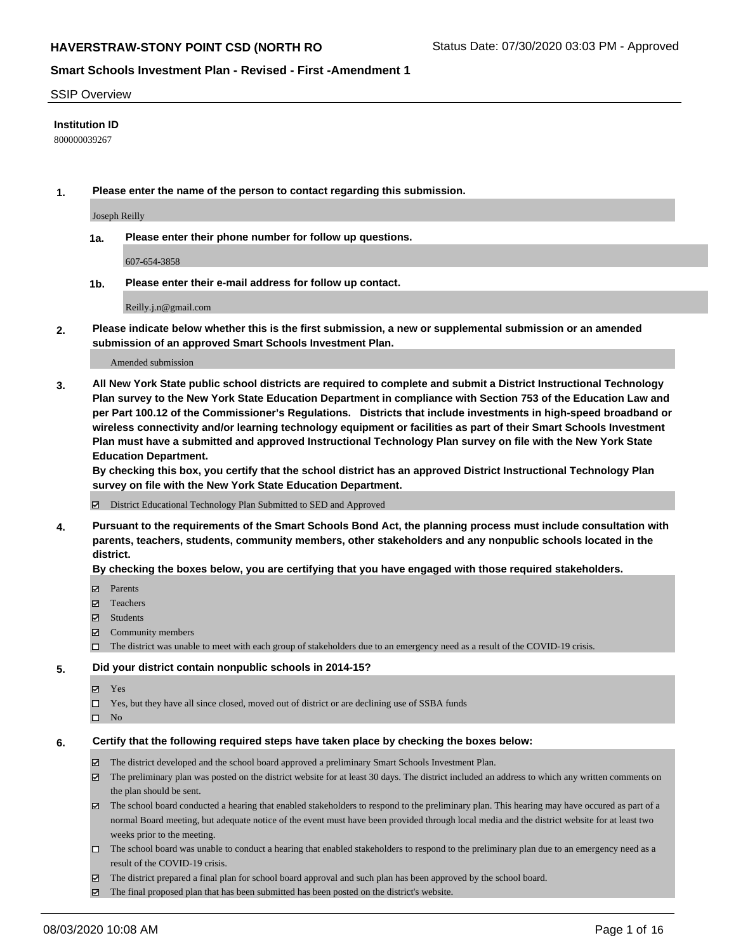#### SSIP Overview

### **Institution ID**

800000039267

**1. Please enter the name of the person to contact regarding this submission.**

Joseph Reilly

**1a. Please enter their phone number for follow up questions.**

607-654-3858

**1b. Please enter their e-mail address for follow up contact.**

Reilly.j.n@gmail.com

**2. Please indicate below whether this is the first submission, a new or supplemental submission or an amended submission of an approved Smart Schools Investment Plan.**

#### Amended submission

**3. All New York State public school districts are required to complete and submit a District Instructional Technology Plan survey to the New York State Education Department in compliance with Section 753 of the Education Law and per Part 100.12 of the Commissioner's Regulations. Districts that include investments in high-speed broadband or wireless connectivity and/or learning technology equipment or facilities as part of their Smart Schools Investment Plan must have a submitted and approved Instructional Technology Plan survey on file with the New York State Education Department.** 

**By checking this box, you certify that the school district has an approved District Instructional Technology Plan survey on file with the New York State Education Department.**

District Educational Technology Plan Submitted to SED and Approved

**4. Pursuant to the requirements of the Smart Schools Bond Act, the planning process must include consultation with parents, teachers, students, community members, other stakeholders and any nonpublic schools located in the district.** 

#### **By checking the boxes below, you are certifying that you have engaged with those required stakeholders.**

- **□** Parents
- Teachers
- Students
- $\boxtimes$  Community members
- The district was unable to meet with each group of stakeholders due to an emergency need as a result of the COVID-19 crisis.

#### **5. Did your district contain nonpublic schools in 2014-15?**

- **冈** Yes
- Yes, but they have all since closed, moved out of district or are declining use of SSBA funds
- $\square$  No

#### **6. Certify that the following required steps have taken place by checking the boxes below:**

- The district developed and the school board approved a preliminary Smart Schools Investment Plan.
- $\boxtimes$  The preliminary plan was posted on the district website for at least 30 days. The district included an address to which any written comments on the plan should be sent.
- $\boxtimes$  The school board conducted a hearing that enabled stakeholders to respond to the preliminary plan. This hearing may have occured as part of a normal Board meeting, but adequate notice of the event must have been provided through local media and the district website for at least two weeks prior to the meeting.
- The school board was unable to conduct a hearing that enabled stakeholders to respond to the preliminary plan due to an emergency need as a result of the COVID-19 crisis.
- The district prepared a final plan for school board approval and such plan has been approved by the school board.
- $\boxtimes$  The final proposed plan that has been submitted has been posted on the district's website.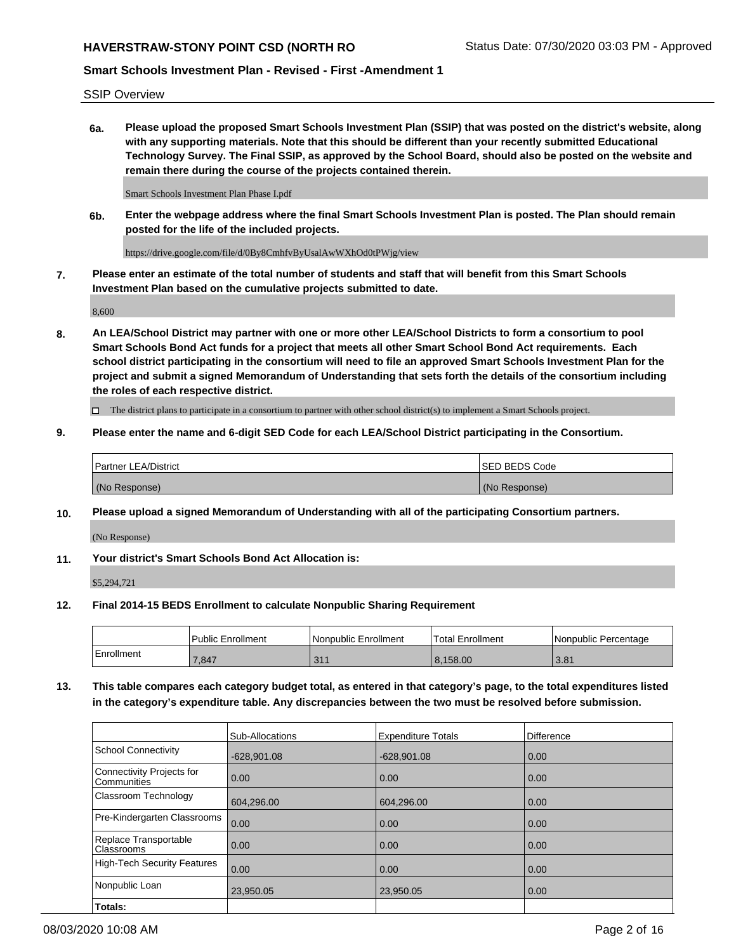# **HAVERSTRAW-STONY POINT CSD (NORTH RO** Status Date: 07/30/2020 03:03 PM - Approved

## **Smart Schools Investment Plan - Revised - First -Amendment 1**

SSIP Overview

**6a. Please upload the proposed Smart Schools Investment Plan (SSIP) that was posted on the district's website, along with any supporting materials. Note that this should be different than your recently submitted Educational Technology Survey. The Final SSIP, as approved by the School Board, should also be posted on the website and remain there during the course of the projects contained therein.**

Smart Schools Investment Plan Phase I.pdf

**6b. Enter the webpage address where the final Smart Schools Investment Plan is posted. The Plan should remain posted for the life of the included projects.**

https://drive.google.com/file/d/0By8CmhfvByUsalAwWXhOd0tPWjg/view

**7. Please enter an estimate of the total number of students and staff that will benefit from this Smart Schools Investment Plan based on the cumulative projects submitted to date.**

8,600

**8. An LEA/School District may partner with one or more other LEA/School Districts to form a consortium to pool Smart Schools Bond Act funds for a project that meets all other Smart School Bond Act requirements. Each school district participating in the consortium will need to file an approved Smart Schools Investment Plan for the project and submit a signed Memorandum of Understanding that sets forth the details of the consortium including the roles of each respective district.**

 $\Box$  The district plans to participate in a consortium to partner with other school district(s) to implement a Smart Schools project.

### **9. Please enter the name and 6-digit SED Code for each LEA/School District participating in the Consortium.**

| Partner LEA/District | <b>ISED BEDS Code</b> |
|----------------------|-----------------------|
| (No Response)        | (No Response)         |

## **10. Please upload a signed Memorandum of Understanding with all of the participating Consortium partners.**

(No Response)

**11. Your district's Smart Schools Bond Act Allocation is:**

\$5,294,721

#### **12. Final 2014-15 BEDS Enrollment to calculate Nonpublic Sharing Requirement**

|            | Public Enrollment | Nonpublic Enrollment | Total Enrollment | I Nonpublic Percentage |
|------------|-------------------|----------------------|------------------|------------------------|
| Enrollment | 7,847             | 311                  | 8.158.00         | 3.81                   |

**13. This table compares each category budget total, as entered in that category's page, to the total expenditures listed in the category's expenditure table. Any discrepancies between the two must be resolved before submission.**

|                                          | Sub-Allocations | <b>Expenditure Totals</b> | Difference |
|------------------------------------------|-----------------|---------------------------|------------|
| <b>School Connectivity</b>               | $-628.901.08$   | $-628,901.08$             | 0.00       |
| Connectivity Projects for<br>Communities | 0.00            | 0.00                      | 0.00       |
| Classroom Technology                     | 604,296.00      | 604,296.00                | 0.00       |
| Pre-Kindergarten Classrooms              | 0.00            | 0.00                      | 0.00       |
| Replace Transportable<br>Classrooms      | 0.00            | 0.00                      | 0.00       |
| <b>High-Tech Security Features</b>       | 0.00            | 0.00                      | 0.00       |
| Nonpublic Loan                           | 23,950.05       | 23,950.05                 | 0.00       |
| Totals:                                  |                 |                           |            |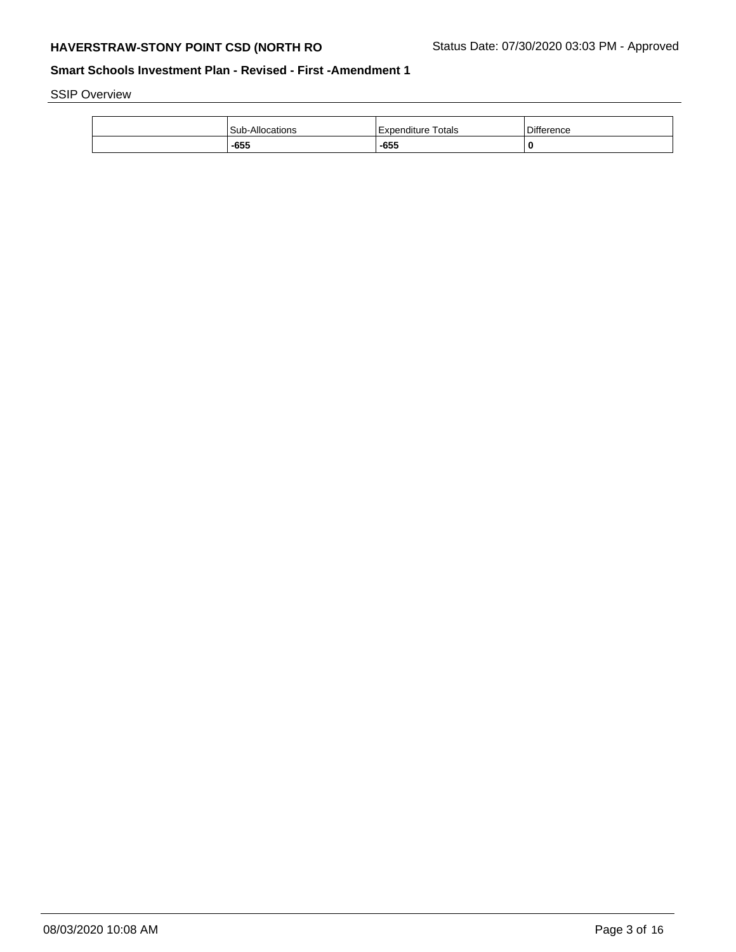SSIP Overview

| $Sub-A$<br>Alloc<br>cations | Totals<br>Expenditure | <b>Difference</b> |
|-----------------------------|-----------------------|-------------------|
| $-655$                      | $-655$                | U                 |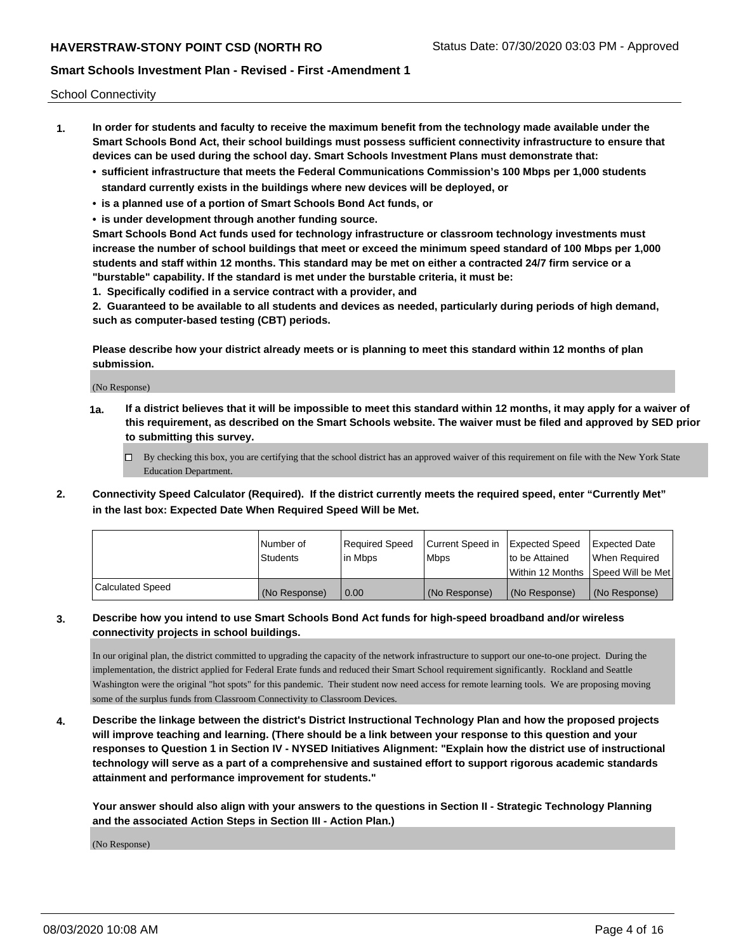School Connectivity

- **1. In order for students and faculty to receive the maximum benefit from the technology made available under the Smart Schools Bond Act, their school buildings must possess sufficient connectivity infrastructure to ensure that devices can be used during the school day. Smart Schools Investment Plans must demonstrate that:**
	- **• sufficient infrastructure that meets the Federal Communications Commission's 100 Mbps per 1,000 students standard currently exists in the buildings where new devices will be deployed, or**
	- **• is a planned use of a portion of Smart Schools Bond Act funds, or**
	- **• is under development through another funding source.**

**Smart Schools Bond Act funds used for technology infrastructure or classroom technology investments must increase the number of school buildings that meet or exceed the minimum speed standard of 100 Mbps per 1,000 students and staff within 12 months. This standard may be met on either a contracted 24/7 firm service or a "burstable" capability. If the standard is met under the burstable criteria, it must be:**

**1. Specifically codified in a service contract with a provider, and**

**2. Guaranteed to be available to all students and devices as needed, particularly during periods of high demand, such as computer-based testing (CBT) periods.**

**Please describe how your district already meets or is planning to meet this standard within 12 months of plan submission.**

(No Response)

**1a. If a district believes that it will be impossible to meet this standard within 12 months, it may apply for a waiver of this requirement, as described on the Smart Schools website. The waiver must be filed and approved by SED prior to submitting this survey.**

 $\Box$  By checking this box, you are certifying that the school district has an approved waiver of this requirement on file with the New York State Education Department.

**2. Connectivity Speed Calculator (Required). If the district currently meets the required speed, enter "Currently Met" in the last box: Expected Date When Required Speed Will be Met.**

|                  | i Number of   | Required Speed | Current Speed in | <b>Expected Speed</b> | <b>Expected Date</b>                 |
|------------------|---------------|----------------|------------------|-----------------------|--------------------------------------|
|                  | Students      | lin Mbps       | <b>Mbps</b>      | Ito be Attained       | When Reauired                        |
|                  |               |                |                  |                       | Within 12 Months   Speed Will be Met |
| Calculated Speed | (No Response) | 0.00           | (No Response)    | l (No Response)       | (No Response)                        |

## **3. Describe how you intend to use Smart Schools Bond Act funds for high-speed broadband and/or wireless connectivity projects in school buildings.**

In our original plan, the district committed to upgrading the capacity of the network infrastructure to support our one-to-one project. During the implementation, the district applied for Federal Erate funds and reduced their Smart School requirement significantly. Rockland and Seattle Washington were the original "hot spots" for this pandemic. Their student now need access for remote learning tools. We are proposing moving some of the surplus funds from Classroom Connectivity to Classroom Devices.

**4. Describe the linkage between the district's District Instructional Technology Plan and how the proposed projects will improve teaching and learning. (There should be a link between your response to this question and your responses to Question 1 in Section IV - NYSED Initiatives Alignment: "Explain how the district use of instructional technology will serve as a part of a comprehensive and sustained effort to support rigorous academic standards attainment and performance improvement for students."** 

**Your answer should also align with your answers to the questions in Section II - Strategic Technology Planning and the associated Action Steps in Section III - Action Plan.)**

(No Response)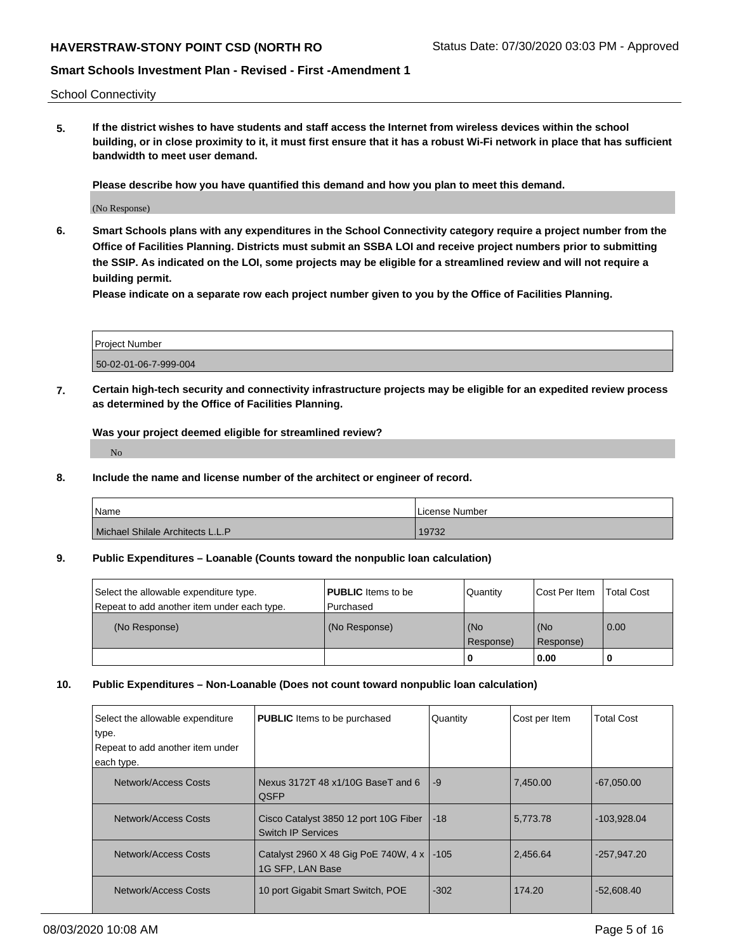School Connectivity

**5. If the district wishes to have students and staff access the Internet from wireless devices within the school building, or in close proximity to it, it must first ensure that it has a robust Wi-Fi network in place that has sufficient bandwidth to meet user demand.**

**Please describe how you have quantified this demand and how you plan to meet this demand.**

(No Response)

**6. Smart Schools plans with any expenditures in the School Connectivity category require a project number from the Office of Facilities Planning. Districts must submit an SSBA LOI and receive project numbers prior to submitting the SSIP. As indicated on the LOI, some projects may be eligible for a streamlined review and will not require a building permit.**

**Please indicate on a separate row each project number given to you by the Office of Facilities Planning.**

| <b>Project Number</b> |  |
|-----------------------|--|
| 50-02-01-06-7-999-004 |  |

**7. Certain high-tech security and connectivity infrastructure projects may be eligible for an expedited review process as determined by the Office of Facilities Planning.**

**Was your project deemed eligible for streamlined review?**

No

**8. Include the name and license number of the architect or engineer of record.**

| <b>Name</b>                      | l License Number |
|----------------------------------|------------------|
| Michael Shilale Architects L.L.P | 19732            |

#### **9. Public Expenditures – Loanable (Counts toward the nonpublic loan calculation)**

| Select the allowable expenditure type.      | <b>PUBLIC</b> Items to be | l Quantitv | Cost Per Item | Total Cost        |
|---------------------------------------------|---------------------------|------------|---------------|-------------------|
| Repeat to add another item under each type. | l Purchased               |            |               |                   |
| (No Response)                               | (No Response)             | (No        | (No           | $\overline{0.00}$ |
|                                             |                           | Response)  | Response)     |                   |
|                                             |                           | -0         | 0.00          |                   |

#### **10. Public Expenditures – Non-Loanable (Does not count toward nonpublic loan calculation)**

| Select the allowable expenditure<br>type.<br>Repeat to add another item under<br>each type. | <b>PUBLIC</b> Items to be purchased                                | Quantity | Cost per Item | <b>Total Cost</b> |
|---------------------------------------------------------------------------------------------|--------------------------------------------------------------------|----------|---------------|-------------------|
| Network/Access Costs                                                                        | Nexus 3172T 48 x1/10G BaseT and 6<br>QSFP                          | -9       | 7,450.00      | $-67,050.00$      |
| Network/Access Costs                                                                        | Cisco Catalyst 3850 12 port 10G Fiber<br><b>Switch IP Services</b> | $-18$    | 5,773.78      | $-103,928.04$     |
| Network/Access Costs                                                                        | Catalyst 2960 X 48 Gig PoE 740W, 4 x<br>1G SFP, LAN Base           | $-105$   | 2,456.64      | $-257,947.20$     |
| Network/Access Costs                                                                        | 10 port Gigabit Smart Switch, POE                                  | $-302$   | 174.20        | $-52,608.40$      |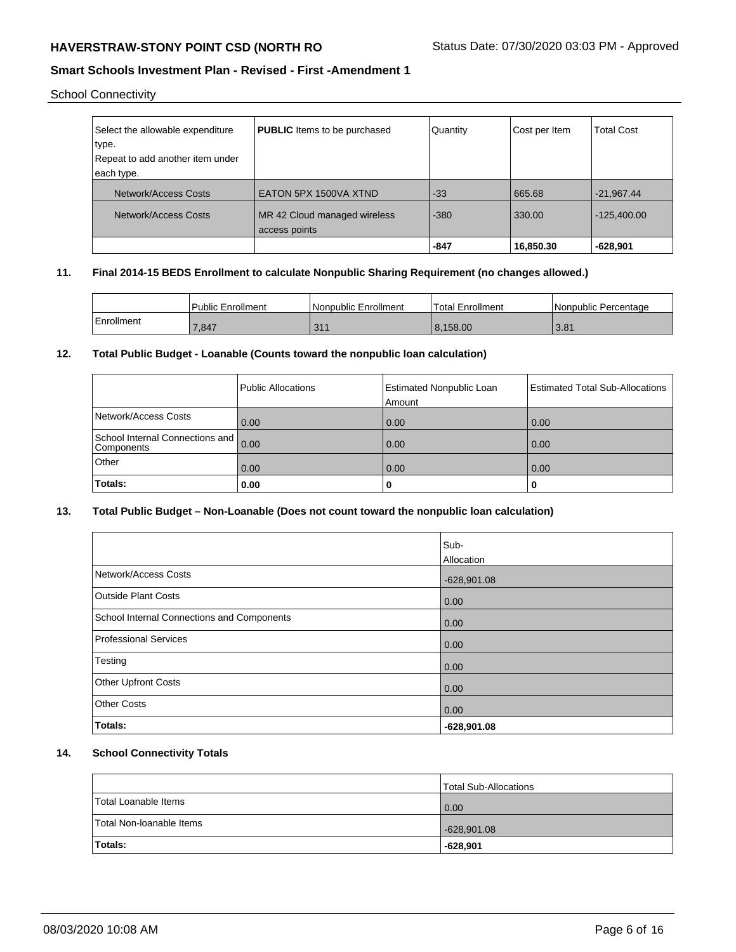School Connectivity

| Select the allowable expenditure | <b>PUBLIC</b> Items to be purchased           | Quantity | Cost per Item | <b>Total Cost</b> |
|----------------------------------|-----------------------------------------------|----------|---------------|-------------------|
| type.                            |                                               |          |               |                   |
| Repeat to add another item under |                                               |          |               |                   |
| each type.                       |                                               |          |               |                   |
| Network/Access Costs             | EATON 5PX 1500VA XTND                         | $-33$    | 665.68        | $-21,967.44$      |
| Network/Access Costs             | MR 42 Cloud managed wireless<br>access points | $-380$   | 330.00        | $-125,400.00$     |
|                                  |                                               | $-847$   | 16,850.30     | $-628,901$        |

# **11. Final 2014-15 BEDS Enrollment to calculate Nonpublic Sharing Requirement (no changes allowed.)**

|              | <b>Public Enrollment</b> | Nonpublic Enrollment | Total Enrollment | l Nonpublic Percentage |
|--------------|--------------------------|----------------------|------------------|------------------------|
| l Enrollment | ,847                     | 24.                  | 8.158.00         | 3.81                   |

# **12. Total Public Budget - Loanable (Counts toward the nonpublic loan calculation)**

|                                               | Public Allocations | <b>Estimated Nonpublic Loan</b><br>Amount | Estimated Total Sub-Allocations |
|-----------------------------------------------|--------------------|-------------------------------------------|---------------------------------|
| Network/Access Costs                          | 0.00               | 0.00                                      | 0.00                            |
| School Internal Connections and<br>Components | 0.00               | 0.00                                      | 0.00                            |
| Other                                         | 0.00               | 0.00                                      | 0.00                            |
| Totals:                                       | 0.00               |                                           |                                 |

## **13. Total Public Budget – Non-Loanable (Does not count toward the nonpublic loan calculation)**

|                                            | Sub-          |
|--------------------------------------------|---------------|
|                                            | Allocation    |
| Network/Access Costs                       | $-628,901.08$ |
| <b>Outside Plant Costs</b>                 | 0.00          |
| School Internal Connections and Components | 0.00          |
| <b>Professional Services</b>               | 0.00          |
| Testing                                    | 0.00          |
| <b>Other Upfront Costs</b>                 | 0.00          |
| <b>Other Costs</b>                         | 0.00          |
| Totals:                                    | $-628,901.08$ |

# **14. School Connectivity Totals**

|                          | <b>Total Sub-Allocations</b> |
|--------------------------|------------------------------|
| Total Loanable Items     | 0.00                         |
| Total Non-Ioanable Items | $-628,901.08$                |
| <b>Totals:</b>           | $-628,901$                   |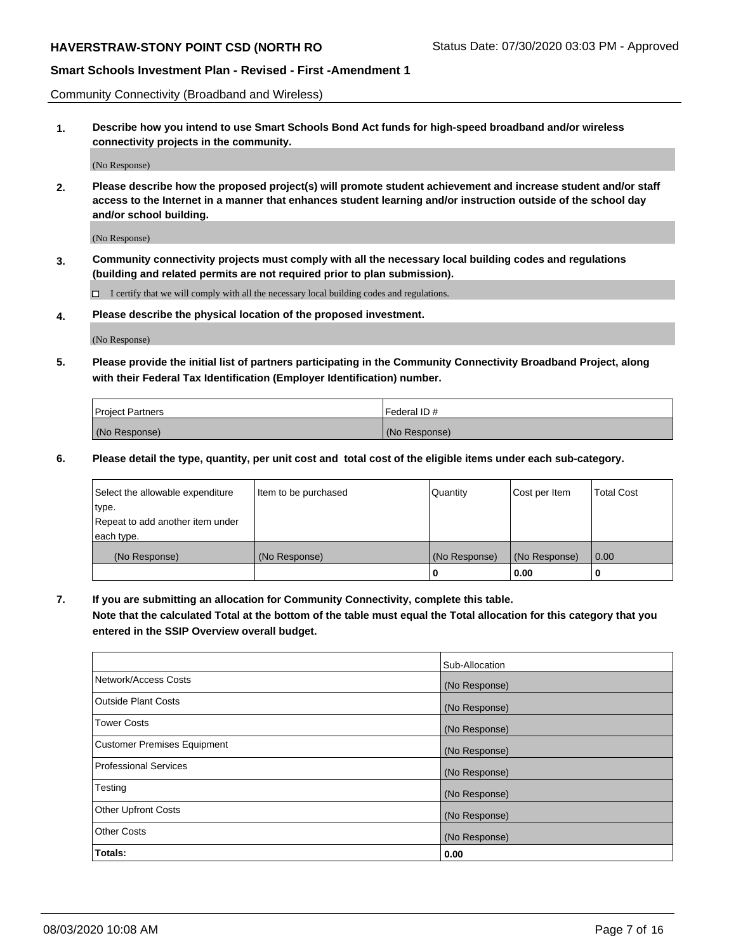Community Connectivity (Broadband and Wireless)

**1. Describe how you intend to use Smart Schools Bond Act funds for high-speed broadband and/or wireless connectivity projects in the community.**

(No Response)

**2. Please describe how the proposed project(s) will promote student achievement and increase student and/or staff access to the Internet in a manner that enhances student learning and/or instruction outside of the school day and/or school building.**

(No Response)

**3. Community connectivity projects must comply with all the necessary local building codes and regulations (building and related permits are not required prior to plan submission).**

 $\Box$  I certify that we will comply with all the necessary local building codes and regulations.

**4. Please describe the physical location of the proposed investment.**

(No Response)

**5. Please provide the initial list of partners participating in the Community Connectivity Broadband Project, along with their Federal Tax Identification (Employer Identification) number.**

| <b>Project Partners</b> | l Federal ID # |
|-------------------------|----------------|
| (No Response)           | (No Response)  |

**6. Please detail the type, quantity, per unit cost and total cost of the eligible items under each sub-category.**

| Select the allowable expenditure | Item to be purchased | Quantity      | Cost per Item | <b>Total Cost</b> |
|----------------------------------|----------------------|---------------|---------------|-------------------|
| type.                            |                      |               |               |                   |
| Repeat to add another item under |                      |               |               |                   |
| each type.                       |                      |               |               |                   |
| (No Response)                    | (No Response)        | (No Response) | (No Response) | 0.00              |
|                                  |                      | o             | 0.00          |                   |

**7. If you are submitting an allocation for Community Connectivity, complete this table.**

**Note that the calculated Total at the bottom of the table must equal the Total allocation for this category that you entered in the SSIP Overview overall budget.**

|                                    | Sub-Allocation |
|------------------------------------|----------------|
| Network/Access Costs               | (No Response)  |
| Outside Plant Costs                | (No Response)  |
| <b>Tower Costs</b>                 | (No Response)  |
| <b>Customer Premises Equipment</b> | (No Response)  |
| <b>Professional Services</b>       | (No Response)  |
| Testing                            | (No Response)  |
| <b>Other Upfront Costs</b>         | (No Response)  |
| <b>Other Costs</b>                 | (No Response)  |
| Totals:                            | 0.00           |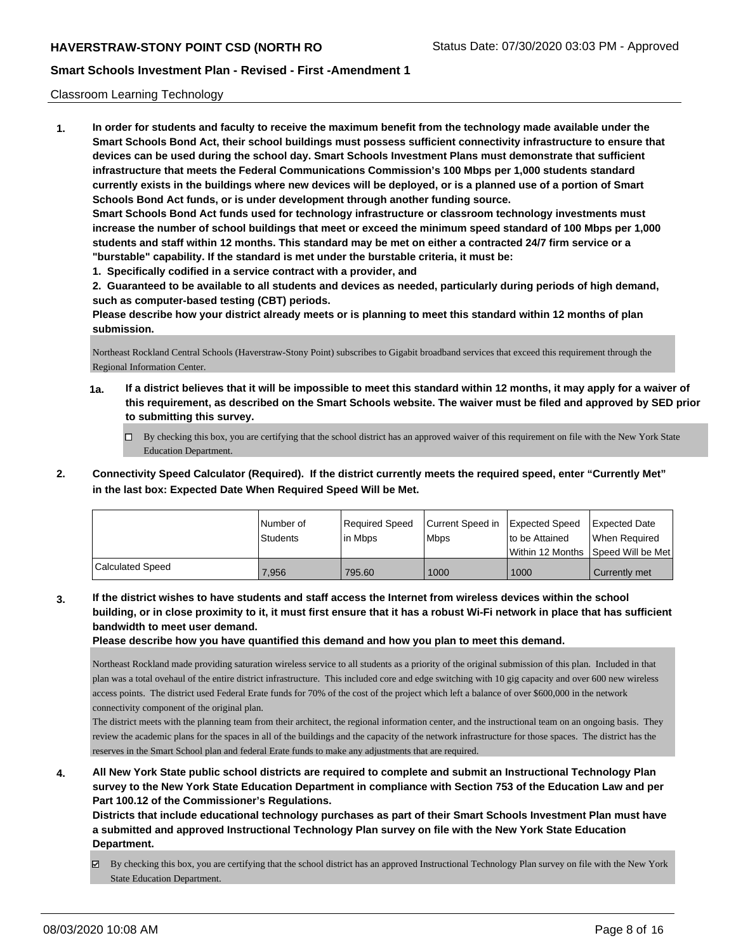### Classroom Learning Technology

**1. In order for students and faculty to receive the maximum benefit from the technology made available under the Smart Schools Bond Act, their school buildings must possess sufficient connectivity infrastructure to ensure that devices can be used during the school day. Smart Schools Investment Plans must demonstrate that sufficient infrastructure that meets the Federal Communications Commission's 100 Mbps per 1,000 students standard currently exists in the buildings where new devices will be deployed, or is a planned use of a portion of Smart Schools Bond Act funds, or is under development through another funding source. Smart Schools Bond Act funds used for technology infrastructure or classroom technology investments must increase the number of school buildings that meet or exceed the minimum speed standard of 100 Mbps per 1,000 students and staff within 12 months. This standard may be met on either a contracted 24/7 firm service or a "burstable" capability. If the standard is met under the burstable criteria, it must be:**

**1. Specifically codified in a service contract with a provider, and**

**2. Guaranteed to be available to all students and devices as needed, particularly during periods of high demand, such as computer-based testing (CBT) periods.**

**Please describe how your district already meets or is planning to meet this standard within 12 months of plan submission.**

Northeast Rockland Central Schools (Haverstraw-Stony Point) subscribes to Gigabit broadband services that exceed this requirement through the Regional Information Center.

- **1a. If a district believes that it will be impossible to meet this standard within 12 months, it may apply for a waiver of this requirement, as described on the Smart Schools website. The waiver must be filed and approved by SED prior to submitting this survey.**
	- By checking this box, you are certifying that the school district has an approved waiver of this requirement on file with the New York State Education Department.
- **2. Connectivity Speed Calculator (Required). If the district currently meets the required speed, enter "Currently Met" in the last box: Expected Date When Required Speed Will be Met.**

|                  | l Number of<br>Students | Required Speed<br>l in Mbps | Current Speed in<br>l Mbps | <b>Expected Speed</b><br>to be Attained | <b>Expected Date</b><br>When Required<br> Within 12 Months  Speed Will be Met |
|------------------|-------------------------|-----------------------------|----------------------------|-----------------------------------------|-------------------------------------------------------------------------------|
| Calculated Speed | 7.956                   | 795.60                      | 1000                       | 1000                                    | Currently met                                                                 |

**3. If the district wishes to have students and staff access the Internet from wireless devices within the school building, or in close proximity to it, it must first ensure that it has a robust Wi-Fi network in place that has sufficient bandwidth to meet user demand.**

**Please describe how you have quantified this demand and how you plan to meet this demand.**

Northeast Rockland made providing saturation wireless service to all students as a priority of the original submission of this plan. Included in that plan was a total ovehaul of the entire district infrastructure. This included core and edge switching with 10 gig capacity and over 600 new wireless access points. The district used Federal Erate funds for 70% of the cost of the project which left a balance of over \$600,000 in the network connectivity component of the original plan.

The district meets with the planning team from their architect, the regional information center, and the instructional team on an ongoing basis. They review the academic plans for the spaces in all of the buildings and the capacity of the network infrastructure for those spaces. The district has the reserves in the Smart School plan and federal Erate funds to make any adjustments that are required.

**4. All New York State public school districts are required to complete and submit an Instructional Technology Plan survey to the New York State Education Department in compliance with Section 753 of the Education Law and per Part 100.12 of the Commissioner's Regulations.**

**Districts that include educational technology purchases as part of their Smart Schools Investment Plan must have a submitted and approved Instructional Technology Plan survey on file with the New York State Education Department.**

By checking this box, you are certifying that the school district has an approved Instructional Technology Plan survey on file with the New York State Education Department.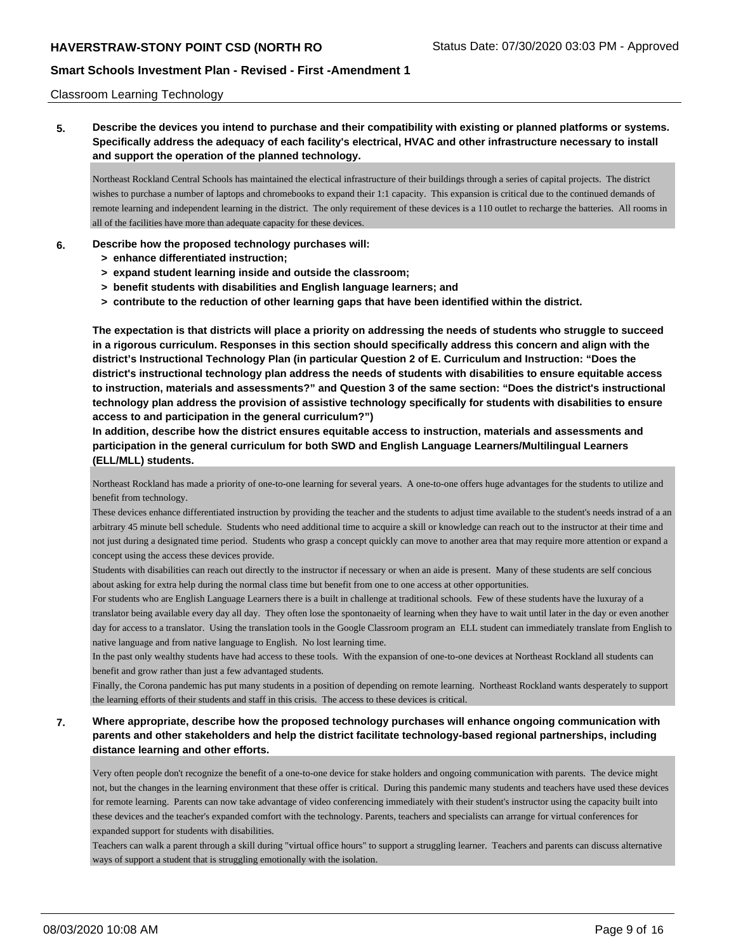### Classroom Learning Technology

# **5. Describe the devices you intend to purchase and their compatibility with existing or planned platforms or systems. Specifically address the adequacy of each facility's electrical, HVAC and other infrastructure necessary to install and support the operation of the planned technology.**

Northeast Rockland Central Schools has maintained the electical infrastructure of their buildings through a series of capital projects. The district wishes to purchase a number of laptops and chromebooks to expand their 1:1 capacity. This expansion is critical due to the continued demands of remote learning and independent learning in the district. The only requirement of these devices is a 110 outlet to recharge the batteries. All rooms in all of the facilities have more than adequate capacity for these devices.

### **6. Describe how the proposed technology purchases will:**

- **> enhance differentiated instruction;**
- **> expand student learning inside and outside the classroom;**
- **> benefit students with disabilities and English language learners; and**
- **> contribute to the reduction of other learning gaps that have been identified within the district.**

**The expectation is that districts will place a priority on addressing the needs of students who struggle to succeed in a rigorous curriculum. Responses in this section should specifically address this concern and align with the district's Instructional Technology Plan (in particular Question 2 of E. Curriculum and Instruction: "Does the district's instructional technology plan address the needs of students with disabilities to ensure equitable access to instruction, materials and assessments?" and Question 3 of the same section: "Does the district's instructional technology plan address the provision of assistive technology specifically for students with disabilities to ensure access to and participation in the general curriculum?")**

**In addition, describe how the district ensures equitable access to instruction, materials and assessments and participation in the general curriculum for both SWD and English Language Learners/Multilingual Learners (ELL/MLL) students.**

Northeast Rockland has made a priority of one-to-one learning for several years. A one-to-one offers huge advantages for the students to utilize and benefit from technology.

These devices enhance differentiated instruction by providing the teacher and the students to adjust time available to the student's needs instrad of a an arbitrary 45 minute bell schedule. Students who need additional time to acquire a skill or knowledge can reach out to the instructor at their time and not just during a designated time period. Students who grasp a concept quickly can move to another area that may require more attention or expand a concept using the access these devices provide.

Students with disabilities can reach out directly to the instructor if necessary or when an aide is present. Many of these students are self concious about asking for extra help during the normal class time but benefit from one to one access at other opportunities.

For students who are English Language Learners there is a built in challenge at traditional schools. Few of these students have the luxuray of a translator being available every day all day. They often lose the spontonaeity of learning when they have to wait until later in the day or even another day for access to a translator. Using the translation tools in the Google Classroom program an ELL student can immediately translate from English to native language and from native language to English. No lost learning time.

In the past only wealthy students have had access to these tools. With the expansion of one-to-one devices at Northeast Rockland all students can benefit and grow rather than just a few advantaged students.

Finally, the Corona pandemic has put many students in a position of depending on remote learning. Northeast Rockland wants desperately to support the learning efforts of their students and staff in this crisis. The access to these devices is critical.

# **7. Where appropriate, describe how the proposed technology purchases will enhance ongoing communication with parents and other stakeholders and help the district facilitate technology-based regional partnerships, including distance learning and other efforts.**

Very often people don't recognize the benefit of a one-to-one device for stake holders and ongoing communication with parents. The device might not, but the changes in the learning environment that these offer is critical. During this pandemic many students and teachers have used these devices for remote learning. Parents can now take advantage of video conferencing immediately with their student's instructor using the capacity built into these devices and the teacher's expanded comfort with the technology. Parents, teachers and specialists can arrange for virtual conferences for expanded support for students with disabilities.

Teachers can walk a parent through a skill during "virtual office hours" to support a struggling learner. Teachers and parents can discuss alternative ways of support a student that is struggling emotionally with the isolation.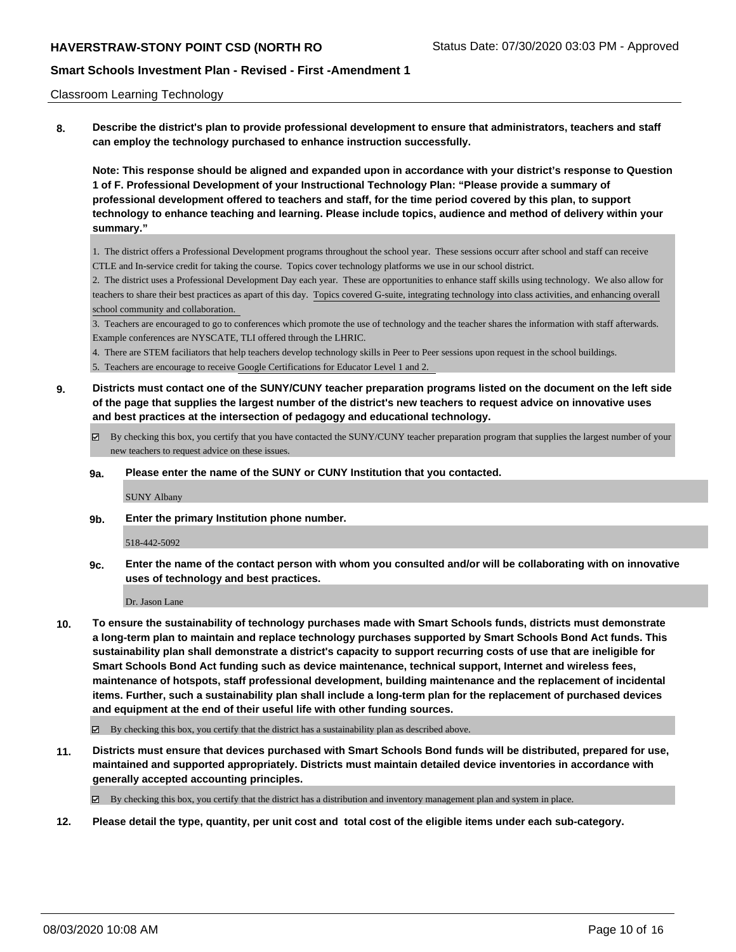### Classroom Learning Technology

**8. Describe the district's plan to provide professional development to ensure that administrators, teachers and staff can employ the technology purchased to enhance instruction successfully.**

**Note: This response should be aligned and expanded upon in accordance with your district's response to Question 1 of F. Professional Development of your Instructional Technology Plan: "Please provide a summary of professional development offered to teachers and staff, for the time period covered by this plan, to support technology to enhance teaching and learning. Please include topics, audience and method of delivery within your summary."**

1. The district offers a Professional Development programs throughout the school year. These sessions occurr after school and staff can receive CTLE and In-service credit for taking the course. Topics cover technology platforms we use in our school district.

2. The district uses a Professional Development Day each year. These are opportunities to enhance staff skills using technology. We also allow for teachers to share their best practices as apart of this day. Topics covered G-suite, integrating technology into class activities, and enhancing overall school community and collaboration.

3. Teachers are encouraged to go to conferences which promote the use of technology and the teacher shares the information with staff afterwards. Example conferences are NYSCATE, TLI offered through the LHRIC.

4. There are STEM faciliators that help teachers develop technology skills in Peer to Peer sessions upon request in the school buildings.

5. Teachers are encourage to receive Google Certifications for Educator Level 1 and 2.

- **9. Districts must contact one of the SUNY/CUNY teacher preparation programs listed on the document on the left side of the page that supplies the largest number of the district's new teachers to request advice on innovative uses and best practices at the intersection of pedagogy and educational technology.**
	- By checking this box, you certify that you have contacted the SUNY/CUNY teacher preparation program that supplies the largest number of your new teachers to request advice on these issues.

#### **9a. Please enter the name of the SUNY or CUNY Institution that you contacted.**

SUNY Albany

**9b. Enter the primary Institution phone number.**

#### 518-442-5092

**9c. Enter the name of the contact person with whom you consulted and/or will be collaborating with on innovative uses of technology and best practices.**

Dr. Jason Lane

**10. To ensure the sustainability of technology purchases made with Smart Schools funds, districts must demonstrate a long-term plan to maintain and replace technology purchases supported by Smart Schools Bond Act funds. This sustainability plan shall demonstrate a district's capacity to support recurring costs of use that are ineligible for Smart Schools Bond Act funding such as device maintenance, technical support, Internet and wireless fees, maintenance of hotspots, staff professional development, building maintenance and the replacement of incidental items. Further, such a sustainability plan shall include a long-term plan for the replacement of purchased devices and equipment at the end of their useful life with other funding sources.**

 $\boxtimes$  By checking this box, you certify that the district has a sustainability plan as described above.

**11. Districts must ensure that devices purchased with Smart Schools Bond funds will be distributed, prepared for use, maintained and supported appropriately. Districts must maintain detailed device inventories in accordance with generally accepted accounting principles.**

By checking this box, you certify that the district has a distribution and inventory management plan and system in place.

**12. Please detail the type, quantity, per unit cost and total cost of the eligible items under each sub-category.**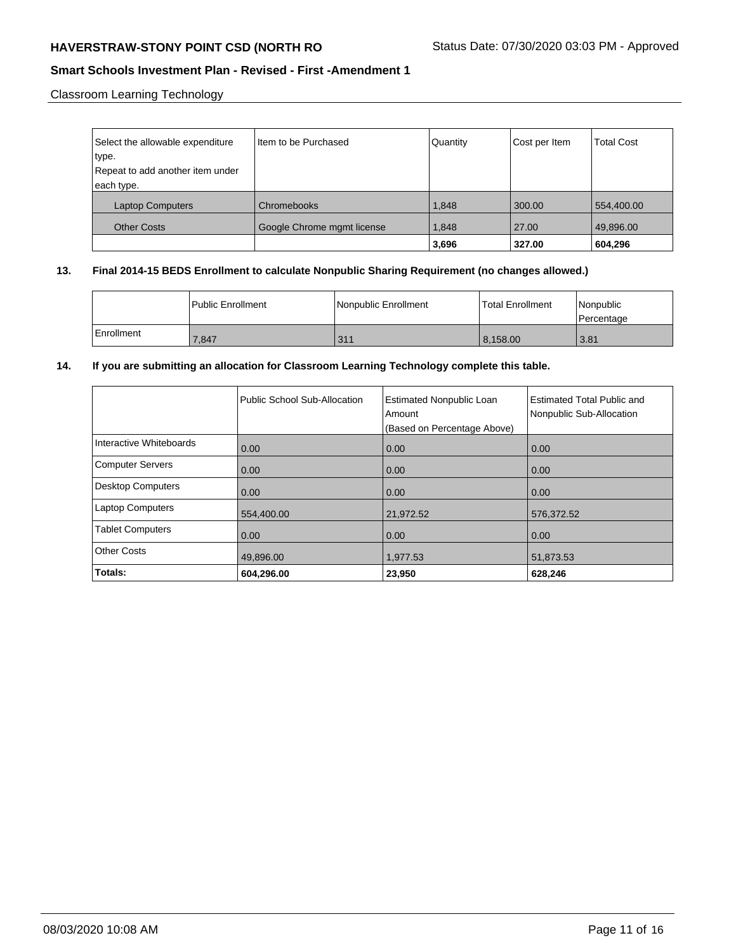# **HAVERSTRAW-STONY POINT CSD (NORTH RO** Status Date: 07/30/2020 03:03 PM - Approved

# **Smart Schools Investment Plan - Revised - First -Amendment 1**

Classroom Learning Technology

| Select the allowable expenditure | Iltem to be Purchased      | Quantity | Cost per Item | <b>Total Cost</b> |
|----------------------------------|----------------------------|----------|---------------|-------------------|
| type.                            |                            |          |               |                   |
| Repeat to add another item under |                            |          |               |                   |
| each type.                       |                            |          |               |                   |
| <b>Laptop Computers</b>          | Chromebooks                | 1,848    | 300.00        | 554,400.00        |
| <b>Other Costs</b>               | Google Chrome mgmt license | 1,848    | 27.00         | 49,896.00         |
|                                  |                            | 3,696    | 327.00        | 604,296           |

# **13. Final 2014-15 BEDS Enrollment to calculate Nonpublic Sharing Requirement (no changes allowed.)**

|              | <b>I Public Enrollment</b> | Nonpublic Enrollment | l Total Enrollment | l Nonpublic<br>Percentage |
|--------------|----------------------------|----------------------|--------------------|---------------------------|
| l Enrollment | 7.847                      | 311                  | 8,158.00           | 3.81                      |

# **14. If you are submitting an allocation for Classroom Learning Technology complete this table.**

|                          | Public School Sub-Allocation | <b>Estimated Nonpublic Loan</b><br>Amount<br>(Based on Percentage Above) | Estimated Total Public and<br>Nonpublic Sub-Allocation |
|--------------------------|------------------------------|--------------------------------------------------------------------------|--------------------------------------------------------|
| Interactive Whiteboards  | 0.00                         | 0.00                                                                     | 0.00                                                   |
| Computer Servers         | 0.00                         | 0.00                                                                     | 0.00                                                   |
| <b>Desktop Computers</b> | 0.00                         | 0.00                                                                     | 0.00                                                   |
| <b>Laptop Computers</b>  | 554,400.00                   | 21,972.52                                                                | 576,372.52                                             |
| <b>Tablet Computers</b>  | 0.00                         | 0.00                                                                     | 0.00                                                   |
| <b>Other Costs</b>       | 49,896.00                    | 1,977.53                                                                 | 51,873.53                                              |
| Totals:                  | 604,296.00                   | 23,950                                                                   | 628,246                                                |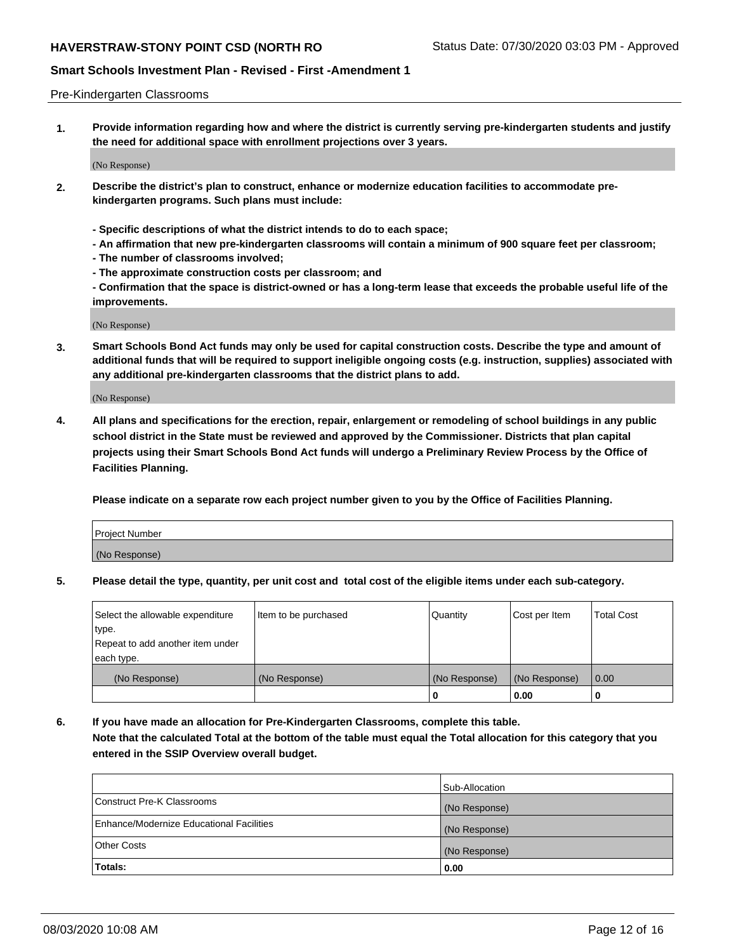### Pre-Kindergarten Classrooms

**1. Provide information regarding how and where the district is currently serving pre-kindergarten students and justify the need for additional space with enrollment projections over 3 years.**

(No Response)

- **2. Describe the district's plan to construct, enhance or modernize education facilities to accommodate prekindergarten programs. Such plans must include:**
	- **Specific descriptions of what the district intends to do to each space;**
	- **An affirmation that new pre-kindergarten classrooms will contain a minimum of 900 square feet per classroom;**
	- **The number of classrooms involved;**
	- **The approximate construction costs per classroom; and**
	- **Confirmation that the space is district-owned or has a long-term lease that exceeds the probable useful life of the improvements.**

(No Response)

**3. Smart Schools Bond Act funds may only be used for capital construction costs. Describe the type and amount of additional funds that will be required to support ineligible ongoing costs (e.g. instruction, supplies) associated with any additional pre-kindergarten classrooms that the district plans to add.**

(No Response)

**4. All plans and specifications for the erection, repair, enlargement or remodeling of school buildings in any public school district in the State must be reviewed and approved by the Commissioner. Districts that plan capital projects using their Smart Schools Bond Act funds will undergo a Preliminary Review Process by the Office of Facilities Planning.**

**Please indicate on a separate row each project number given to you by the Office of Facilities Planning.**

| Project Number |  |
|----------------|--|
| (No Response)  |  |
|                |  |

**5. Please detail the type, quantity, per unit cost and total cost of the eligible items under each sub-category.**

| Select the allowable expenditure | Item to be purchased | Quantity      | Cost per Item | <b>Total Cost</b> |
|----------------------------------|----------------------|---------------|---------------|-------------------|
| type.                            |                      |               |               |                   |
| Repeat to add another item under |                      |               |               |                   |
| each type.                       |                      |               |               |                   |
| (No Response)                    | (No Response)        | (No Response) | (No Response) | 0.00              |
|                                  |                      | υ             | 0.00          |                   |

**6. If you have made an allocation for Pre-Kindergarten Classrooms, complete this table. Note that the calculated Total at the bottom of the table must equal the Total allocation for this category that you entered in the SSIP Overview overall budget.**

|                                          | Sub-Allocation |
|------------------------------------------|----------------|
| Construct Pre-K Classrooms               | (No Response)  |
| Enhance/Modernize Educational Facilities | (No Response)  |
| <b>Other Costs</b>                       | (No Response)  |
| Totals:                                  | 0.00           |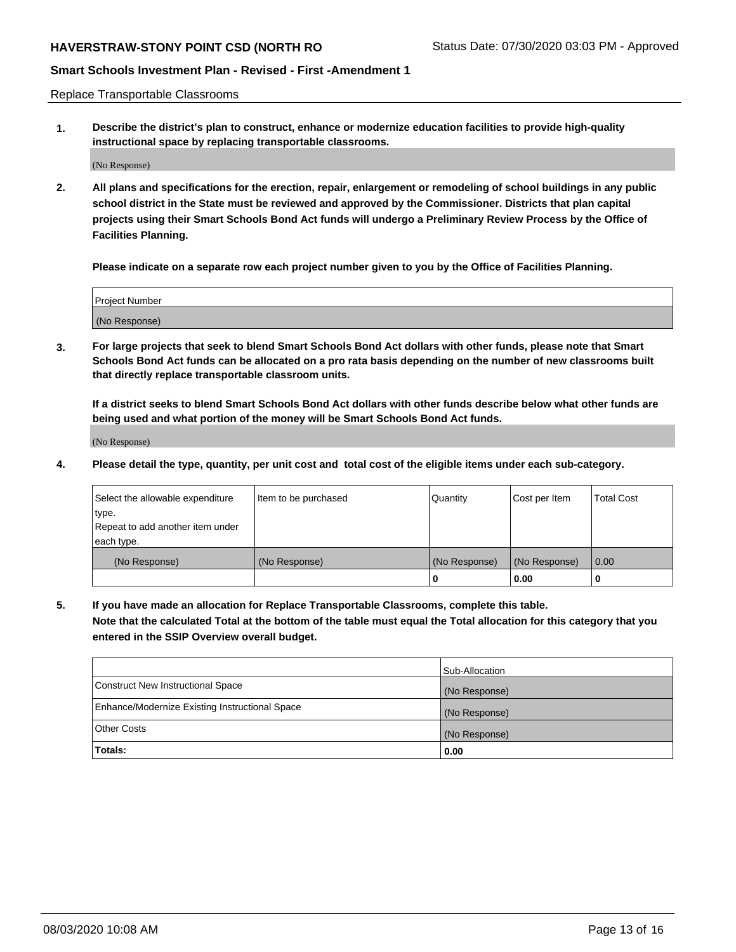Replace Transportable Classrooms

**1. Describe the district's plan to construct, enhance or modernize education facilities to provide high-quality instructional space by replacing transportable classrooms.**

(No Response)

**2. All plans and specifications for the erection, repair, enlargement or remodeling of school buildings in any public school district in the State must be reviewed and approved by the Commissioner. Districts that plan capital projects using their Smart Schools Bond Act funds will undergo a Preliminary Review Process by the Office of Facilities Planning.**

**Please indicate on a separate row each project number given to you by the Office of Facilities Planning.**

| Project Number |  |
|----------------|--|
|                |  |
| (No Response)  |  |

**3. For large projects that seek to blend Smart Schools Bond Act dollars with other funds, please note that Smart Schools Bond Act funds can be allocated on a pro rata basis depending on the number of new classrooms built that directly replace transportable classroom units.**

**If a district seeks to blend Smart Schools Bond Act dollars with other funds describe below what other funds are being used and what portion of the money will be Smart Schools Bond Act funds.**

(No Response)

**4. Please detail the type, quantity, per unit cost and total cost of the eligible items under each sub-category.**

| Select the allowable expenditure           | Item to be purchased | Quantity      | Cost per Item | <b>Total Cost</b> |
|--------------------------------------------|----------------------|---------------|---------------|-------------------|
| ∣type.<br>Repeat to add another item under |                      |               |               |                   |
| each type.                                 |                      |               |               |                   |
| (No Response)                              | (No Response)        | (No Response) | (No Response) | 0.00              |
|                                            |                      | 0             | 0.00          |                   |

**5. If you have made an allocation for Replace Transportable Classrooms, complete this table. Note that the calculated Total at the bottom of the table must equal the Total allocation for this category that you entered in the SSIP Overview overall budget.**

|                                                | Sub-Allocation |
|------------------------------------------------|----------------|
| Construct New Instructional Space              | (No Response)  |
| Enhance/Modernize Existing Instructional Space | (No Response)  |
| Other Costs                                    | (No Response)  |
| Totals:                                        | 0.00           |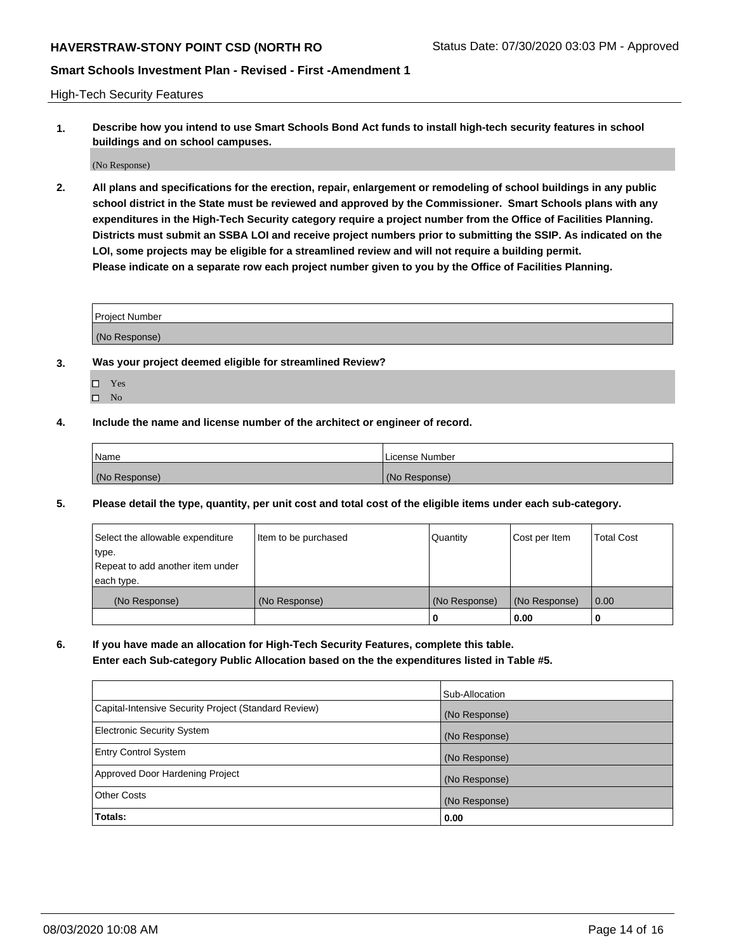High-Tech Security Features

**1. Describe how you intend to use Smart Schools Bond Act funds to install high-tech security features in school buildings and on school campuses.**

(No Response)

**2. All plans and specifications for the erection, repair, enlargement or remodeling of school buildings in any public school district in the State must be reviewed and approved by the Commissioner. Smart Schools plans with any expenditures in the High-Tech Security category require a project number from the Office of Facilities Planning. Districts must submit an SSBA LOI and receive project numbers prior to submitting the SSIP. As indicated on the LOI, some projects may be eligible for a streamlined review and will not require a building permit. Please indicate on a separate row each project number given to you by the Office of Facilities Planning.**

| <b>Project Number</b> |  |
|-----------------------|--|
| (No Response)         |  |

- **3. Was your project deemed eligible for streamlined Review?**
	- Yes
	- $\hfill \square$  No
- **4. Include the name and license number of the architect or engineer of record.**

| Name          | License Number |
|---------------|----------------|
| (No Response) | (No Response)  |

**5. Please detail the type, quantity, per unit cost and total cost of the eligible items under each sub-category.**

| Select the allowable expenditure | Item to be purchased | Quantity      | Cost per Item | <b>Total Cost</b> |
|----------------------------------|----------------------|---------------|---------------|-------------------|
| type.                            |                      |               |               |                   |
| Repeat to add another item under |                      |               |               |                   |
| each type.                       |                      |               |               |                   |
| (No Response)                    | (No Response)        | (No Response) | (No Response) | $\overline{0.00}$ |
|                                  |                      |               | 0.00          |                   |

**6. If you have made an allocation for High-Tech Security Features, complete this table.**

**Enter each Sub-category Public Allocation based on the the expenditures listed in Table #5.**

|                                                      | Sub-Allocation |
|------------------------------------------------------|----------------|
| Capital-Intensive Security Project (Standard Review) | (No Response)  |
| <b>Electronic Security System</b>                    | (No Response)  |
| <b>Entry Control System</b>                          | (No Response)  |
| Approved Door Hardening Project                      | (No Response)  |
| <b>Other Costs</b>                                   | (No Response)  |
| Totals:                                              | 0.00           |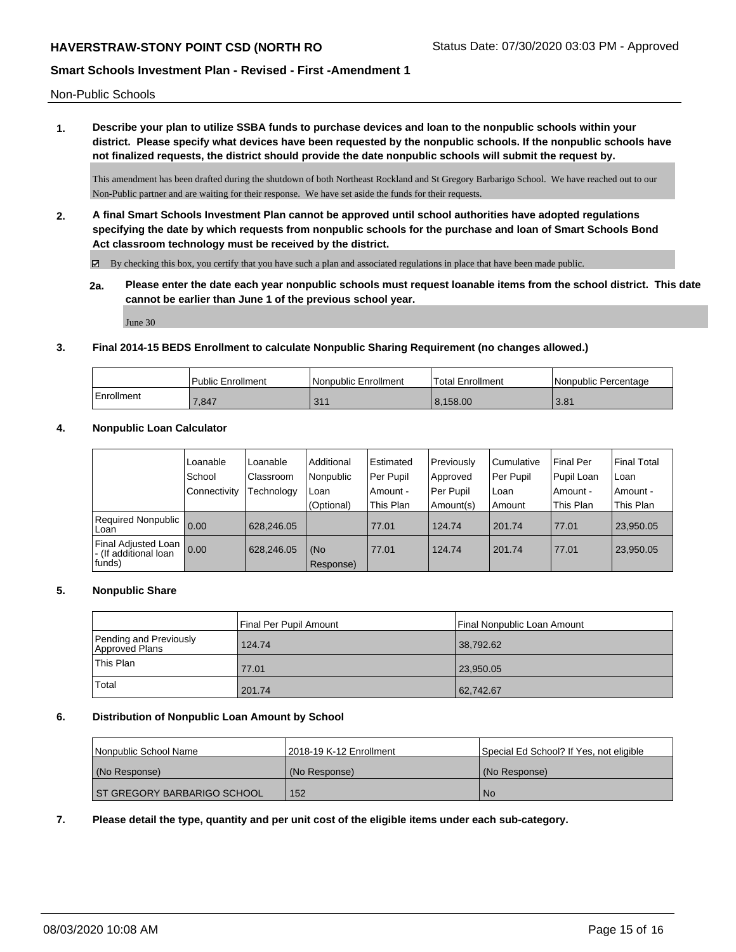Non-Public Schools

**1. Describe your plan to utilize SSBA funds to purchase devices and loan to the nonpublic schools within your district. Please specify what devices have been requested by the nonpublic schools. If the nonpublic schools have not finalized requests, the district should provide the date nonpublic schools will submit the request by.**

This amendment has been drafted during the shutdown of both Northeast Rockland and St Gregory Barbarigo School. We have reached out to our Non-Public partner and are waiting for their response. We have set aside the funds for their requests.

**2. A final Smart Schools Investment Plan cannot be approved until school authorities have adopted regulations specifying the date by which requests from nonpublic schools for the purchase and loan of Smart Schools Bond Act classroom technology must be received by the district.**

 $\boxtimes$  By checking this box, you certify that you have such a plan and associated regulations in place that have been made public.

**2a. Please enter the date each year nonpublic schools must request loanable items from the school district. This date cannot be earlier than June 1 of the previous school year.**

June 30

## **3. Final 2014-15 BEDS Enrollment to calculate Nonpublic Sharing Requirement (no changes allowed.)**

|            | Public Enrollment | Nonpublic Enrollment | <sup>1</sup> Total Enrollment | Nonpublic Percentage |
|------------|-------------------|----------------------|-------------------------------|----------------------|
| Enrollment | 7.847             | 24.<br>ا ا ت         | 8.158.00                      | 3.81                 |

## **4. Nonpublic Loan Calculator**

|                                                        | Loanable<br>School<br>Connectivity | Loanable<br>Classroom<br>Technology | Additional<br>Nonpublic<br>Loan<br>(Optional) | <b>Estimated</b><br>Per Pupil<br>Amount -<br>This Plan | Previously<br>Approved<br>l Per Pupil<br>Amount(s) | l Cumulative<br>Per Pupil<br>l Loan<br>l Amount | <b>Final Per</b><br>Pupil Loan<br>Amount -<br>This Plan | Final Total<br>l Loan<br>Amount -<br>This Plan |
|--------------------------------------------------------|------------------------------------|-------------------------------------|-----------------------------------------------|--------------------------------------------------------|----------------------------------------------------|-------------------------------------------------|---------------------------------------------------------|------------------------------------------------|
| <b>Required Nonpublic</b><br>Loan                      | 0.00                               | 628.246.05                          |                                               | 77.01                                                  | 124.74                                             | 201.74                                          | 77.01                                                   | 23.950.05                                      |
| Final Adjusted Loan<br>- (If additional loan<br>funds) | 0.00                               | 628,246.05                          | (No<br>Response)                              | 77.01                                                  | 124.74                                             | 201.74                                          | 77.01                                                   | 23,950.05                                      |

#### **5. Nonpublic Share**

|                                          | Final Per Pupil Amount | Final Nonpublic Loan Amount |
|------------------------------------------|------------------------|-----------------------------|
| Pending and Previously<br>Approved Plans | 124.74                 | 38,792.62                   |
| 'This Plan                               | 77.01                  | 23.950.05                   |
| Total                                    | 201.74                 | 62,742.67                   |

### **6. Distribution of Nonpublic Loan Amount by School**

| Nonpublic School Name         | 12018-19 K-12 Enrollment | Special Ed School? If Yes, not eligible |
|-------------------------------|--------------------------|-----------------------------------------|
| (No Response)                 | (No Response)            | I (No Response)                         |
| I ST GREGORY BARBARIGO SCHOOL | 152                      | l No                                    |

## **7. Please detail the type, quantity and per unit cost of the eligible items under each sub-category.**